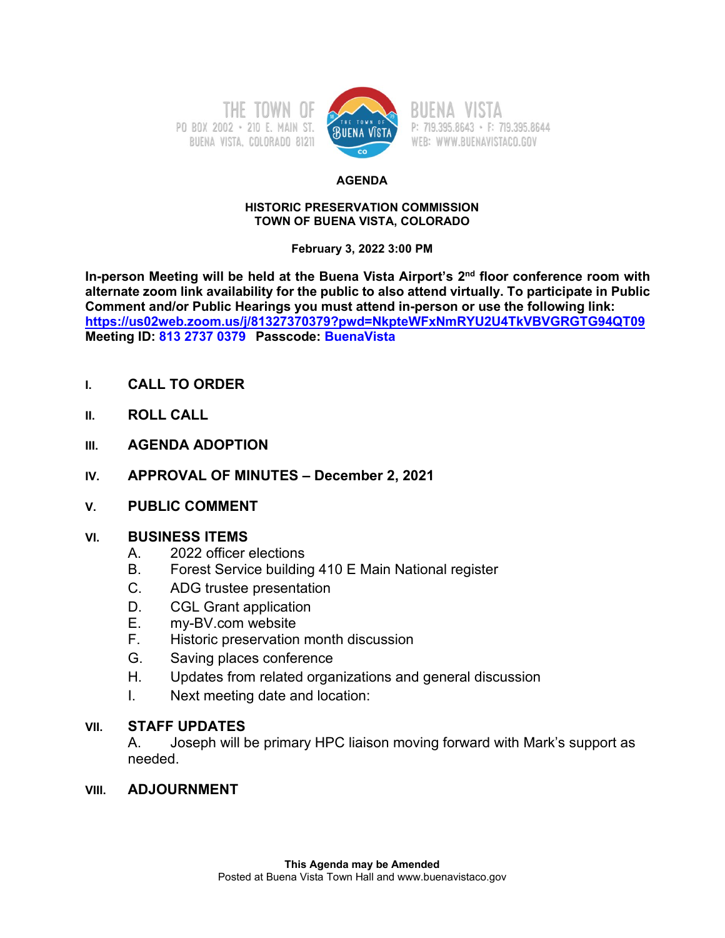



P: 719.395.8643 · F: 719.395.8644 WEB: WWW.BUENAVISTACO.GOV

#### **AGENDA**

### **HISTORIC PRESERVATION COMMISSION TOWN OF BUENA VISTA, COLORADO**

## **February 3, 2022 3:00 PM**

**In-person Meeting will be held at the Buena Vista Airport's 2nd floor conference room with alternate zoom link availability for the public to also attend virtually. To participate in Public Comment and/or Public Hearings you must attend in-person or use the following link: <https://us02web.zoom.us/j/81327370379?pwd=NkpteWFxNmRYU2U4TkVBVGRGTG94QT09> Meeting ID: 813 2737 0379 Passcode: BuenaVista**

- **I. CALL TO ORDER**
- **II. ROLL CALL**
- **III. AGENDA ADOPTION**
- **IV. APPROVAL OF MINUTES – December 2, 2021**
- **V. PUBLIC COMMENT**

# **VI. BUSINESS ITEMS**

- A. 2022 officer elections
- B. Forest Service building 410 E Main National register
- C. ADG trustee presentation
- D. CGL Grant application
- E. my-BV.com website
- F. Historic preservation month discussion
- G. Saving places conference
- H. Updates from related organizations and general discussion
- I. Next meeting date and location:

# **VII. STAFF UPDATES**

A. Joseph will be primary HPC liaison moving forward with Mark's support as needed.

# **VIII. ADJOURNMENT**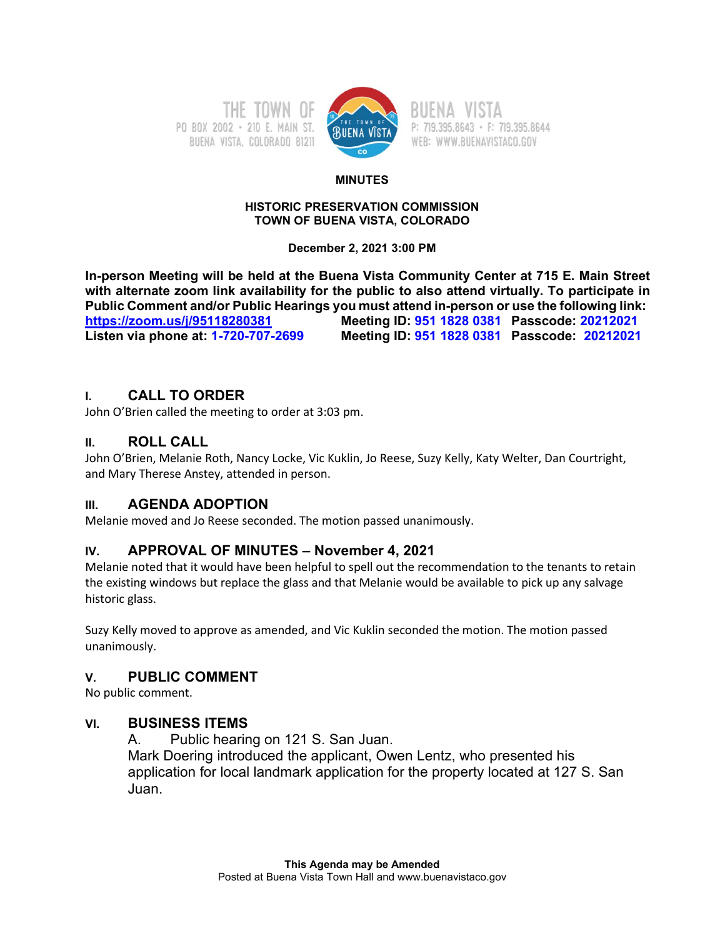PO BOX 2002 - 210 E. MAIN ST. BUENA VISTA, COLORADO 81211



P: 719.395.8643 · F: 719.395.8644 WEB: WWW.BUENAVISTACO.GOV

### **MINUTES**

#### **HISTORIC PRESERVATION COMMISSION TOWN OF BUENA VISTA, COLORADO**

**December 2, 2021 3:00 PM**

**In-person Meeting will be held at the Buena Vista Community Center at 715 E. Main Street with alternate zoom link availability for the public to also attend virtually. To participate in Public Comment and/or Public Hearings you must attend in-person or use the following link: [https://zoom.us/j/95118280381](about:blank) Meeting ID: 951 1828 0381 Passcode: 20212021 Listen via phone at: 1-720-707-2699 Meeting ID: 951 1828 0381 Passcode: 20212021**

# **I. CALL TO ORDER**

John O'Brien called the meeting to order at 3:03 pm.

# **II. ROLL CALL**

John O'Brien, Melanie Roth, Nancy Locke, Vic Kuklin, Jo Reese, Suzy Kelly, Katy Welter, Dan Courtright, and Mary Therese Anstey, attended in person.

# **III. AGENDA ADOPTION**

Melanie moved and Jo Reese seconded. The motion passed unanimously.

# **IV. APPROVAL OF MINUTES – November 4, 2021**

Melanie noted that it would have been helpful to spell out the recommendation to the tenants to retain the existing windows but replace the glass and that Melanie would be available to pick up any salvage historic glass.

Suzy Kelly moved to approve as amended, and Vic Kuklin seconded the motion. The motion passed unanimously.

# **V. PUBLIC COMMENT**

No public comment.

# **VI. BUSINESS ITEMS**

A. Public hearing on 121 S. San Juan. Mark Doering introduced the applicant, Owen Lentz, who presented his application for local landmark application for the property located at 127 S. San Juan.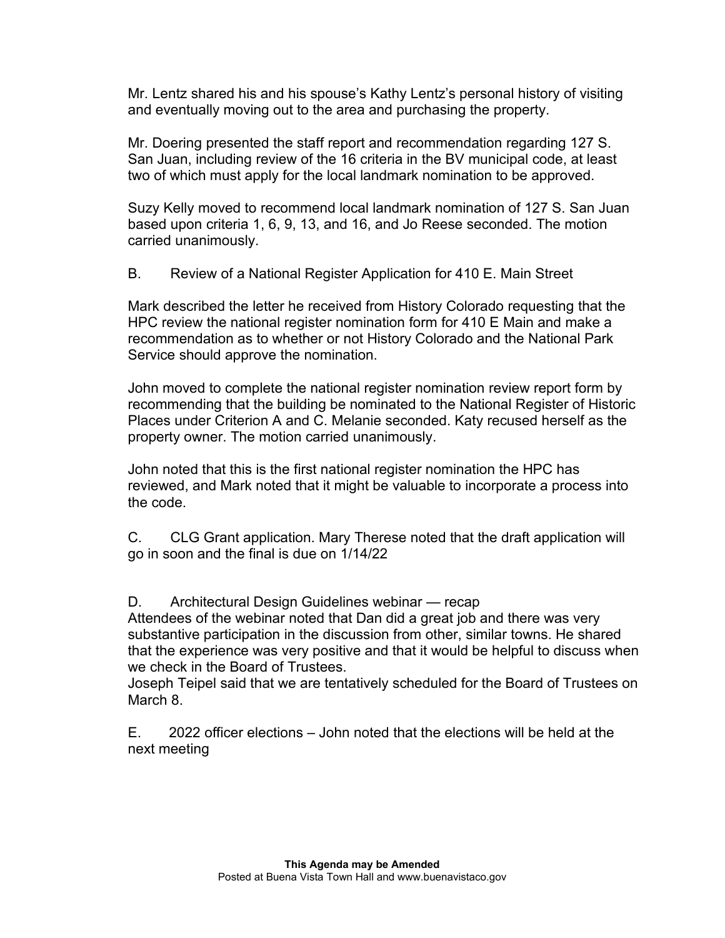Mr. Lentz shared his and his spouse's Kathy Lentz's personal history of visiting and eventually moving out to the area and purchasing the property.

Mr. Doering presented the staff report and recommendation regarding 127 S. San Juan, including review of the 16 criteria in the BV municipal code, at least two of which must apply for the local landmark nomination to be approved.

Suzy Kelly moved to recommend local landmark nomination of 127 S. San Juan based upon criteria 1, 6, 9, 13, and 16, and Jo Reese seconded. The motion carried unanimously.

B. Review of a National Register Application for 410 E. Main Street

Mark described the letter he received from History Colorado requesting that the HPC review the national register nomination form for 410 E Main and make a recommendation as to whether or not History Colorado and the National Park Service should approve the nomination.

John moved to complete the national register nomination review report form by recommending that the building be nominated to the National Register of Historic Places under Criterion A and C. Melanie seconded. Katy recused herself as the property owner. The motion carried unanimously.

John noted that this is the first national register nomination the HPC has reviewed, and Mark noted that it might be valuable to incorporate a process into the code.

C. CLG Grant application. Mary Therese noted that the draft application will go in soon and the final is due on 1/14/22

D. Architectural Design Guidelines webinar — recap

Attendees of the webinar noted that Dan did a great job and there was very substantive participation in the discussion from other, similar towns. He shared that the experience was very positive and that it would be helpful to discuss when we check in the Board of Trustees.

Joseph Teipel said that we are tentatively scheduled for the Board of Trustees on March 8.

E. 2022 officer elections – John noted that the elections will be held at the next meeting